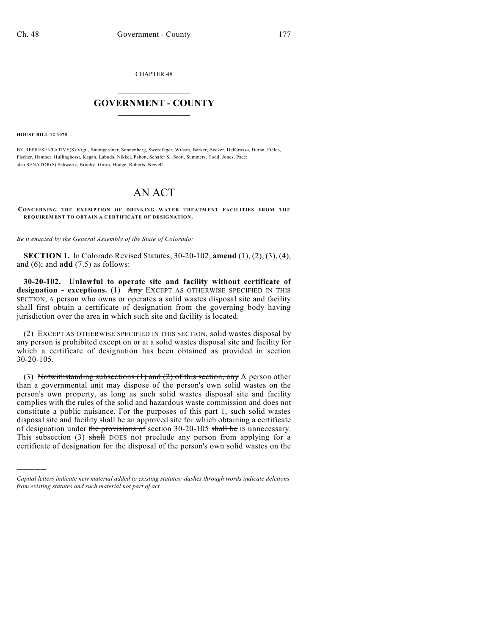CHAPTER 48

## $\mathcal{L}_\text{max}$  . The set of the set of the set of the set of the set of the set of the set of the set of the set of the set of the set of the set of the set of the set of the set of the set of the set of the set of the set **GOVERNMENT - COUNTY**  $\_$

**HOUSE BILL 12-1078**

)))))

BY REPRESENTATIVE(S) Vigil, Baumgardner, Sonnenberg, Swerdfeger, Wilson, Barker, Becker, DelGrosso, Duran, Fields, Fischer, Hamner, Hullinghorst, Kagan, Labuda, Nikkel, Pabon, Schafer S., Scott, Summers, Todd, Jones, Pace; also SENATOR(S) Schwartz, Brophy, Giron, Hodge, Roberts, Newell.

## AN ACT

**CONCERNING THE EXEMPTION OF DRINKING WATER TREATMENT FACILITIES FROM THE REQUIREMENT TO OBTAIN A CERTIFICATE OF DESIGNATION.**

*Be it enacted by the General Assembly of the State of Colorado:*

**SECTION 1.** In Colorado Revised Statutes, 30-20-102, **amend** (1), (2), (3), (4), and (6); and **add** (7.5) as follows:

**30-20-102. Unlawful to operate site and facility without certificate of designation - exceptions.** (1) Any EXCEPT AS OTHERWISE SPECIFIED IN THIS SECTION, A person who owns or operates a solid wastes disposal site and facility shall first obtain a certificate of designation from the governing body having jurisdiction over the area in which such site and facility is located.

(2) EXCEPT AS OTHERWISE SPECIFIED IN THIS SECTION, solid wastes disposal by any person is prohibited except on or at a solid wastes disposal site and facility for which a certificate of designation has been obtained as provided in section 30-20-105.

(3) Notwithstanding subsections  $(1)$  and  $(2)$  of this section, any A person other than a governmental unit may dispose of the person's own solid wastes on the person's own property, as long as such solid wastes disposal site and facility complies with the rules of the solid and hazardous waste commission and does not constitute a public nuisance. For the purposes of this part 1, such solid wastes disposal site and facility shall be an approved site for which obtaining a certificate of designation under the provisions of section  $30-20-105$  shall be IS unnecessary. This subsection (3) shall DOES not preclude any person from applying for a certificate of designation for the disposal of the person's own solid wastes on the

*Capital letters indicate new material added to existing statutes; dashes through words indicate deletions from existing statutes and such material not part of act.*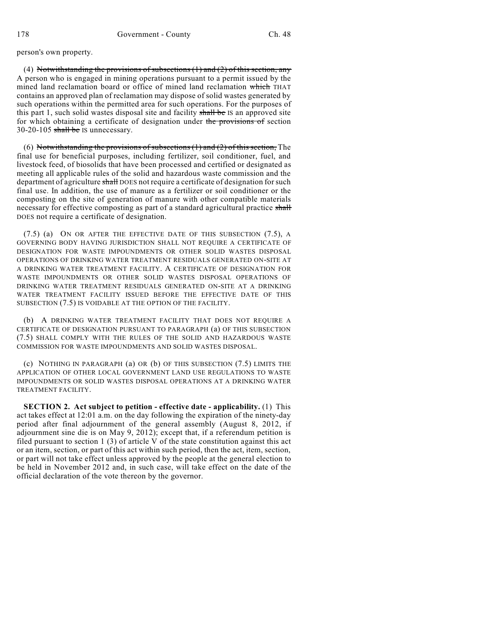person's own property.

(4) Notwithstanding the provisions of subsections  $(1)$  and  $(2)$  of this section, any A person who is engaged in mining operations pursuant to a permit issued by the mined land reclamation board or office of mined land reclamation which THAT contains an approved plan of reclamation may dispose of solid wastes generated by such operations within the permitted area for such operations. For the purposes of this part 1, such solid wastes disposal site and facility shall be IS an approved site for which obtaining a certificate of designation under the provisions of section 30-20-105 shall be IS unnecessary.

(6) Notwithstanding the provisions of subsections  $(1)$  and  $(2)$  of this section, The final use for beneficial purposes, including fertilizer, soil conditioner, fuel, and livestock feed, of biosolids that have been processed and certified or designated as meeting all applicable rules of the solid and hazardous waste commission and the department of agriculture shall DOES not require a certificate of designation for such final use. In addition, the use of manure as a fertilizer or soil conditioner or the composting on the site of generation of manure with other compatible materials necessary for effective composting as part of a standard agricultural practice shall DOES not require a certificate of designation.

(7.5) (a) ON OR AFTER THE EFFECTIVE DATE OF THIS SUBSECTION (7.5), A GOVERNING BODY HAVING JURISDICTION SHALL NOT REQUIRE A CERTIFICATE OF DESIGNATION FOR WASTE IMPOUNDMENTS OR OTHER SOLID WASTES DISPOSAL OPERATIONS OF DRINKING WATER TREATMENT RESIDUALS GENERATED ON-SITE AT A DRINKING WATER TREATMENT FACILITY. A CERTIFICATE OF DESIGNATION FOR WASTE IMPOUNDMENTS OR OTHER SOLID WASTES DISPOSAL OPERATIONS OF DRINKING WATER TREATMENT RESIDUALS GENERATED ON-SITE AT A DRINKING WATER TREATMENT FACILITY ISSUED BEFORE THE EFFECTIVE DATE OF THIS SUBSECTION (7.5) IS VOIDABLE AT THE OPTION OF THE FACILITY.

(b) A DRINKING WATER TREATMENT FACILITY THAT DOES NOT REQUIRE A CERTIFICATE OF DESIGNATION PURSUANT TO PARAGRAPH (a) OF THIS SUBSECTION (7.5) SHALL COMPLY WITH THE RULES OF THE SOLID AND HAZARDOUS WASTE COMMISSION FOR WASTE IMPOUNDMENTS AND SOLID WASTES DISPOSAL.

(c) NOTHING IN PARAGRAPH (a) OR (b) OF THIS SUBSECTION (7.5) LIMITS THE APPLICATION OF OTHER LOCAL GOVERNMENT LAND USE REGULATIONS TO WASTE IMPOUNDMENTS OR SOLID WASTES DISPOSAL OPERATIONS AT A DRINKING WATER TREATMENT FACILITY.

**SECTION 2. Act subject to petition - effective date - applicability.** (1) This act takes effect at 12:01 a.m. on the day following the expiration of the ninety-day period after final adjournment of the general assembly (August 8, 2012, if adjournment sine die is on May 9, 2012); except that, if a referendum petition is filed pursuant to section 1 (3) of article V of the state constitution against this act or an item, section, or part of this act within such period, then the act, item, section, or part will not take effect unless approved by the people at the general election to be held in November 2012 and, in such case, will take effect on the date of the official declaration of the vote thereon by the governor.